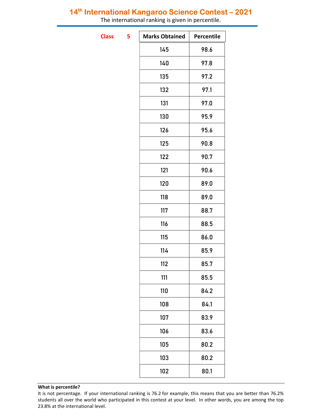The international ranking is given in percentile.

**Class** 

| 5 | <b>Marks Obtained</b> | Percentile |
|---|-----------------------|------------|
|   | 145                   | 98.6       |
|   | 140                   | 97.8       |
|   | 135                   | 97.2       |
|   | 132                   | 97.1       |
|   | 131                   | 97.0       |
|   | 130                   | 95.9       |
|   | 126                   | 95.6       |
|   | 125                   | 90.8       |
|   | 122                   | 90.7       |
|   | 121                   | 90.6       |
|   | 120                   | 89.0       |
|   | 118                   | 89.0       |
|   | 117                   | 88.7       |
|   | 116                   | 88.5       |
|   | 115                   | 86.0       |
|   | 114                   | 85.9       |
|   | 112                   | 85.7       |
|   | 111                   | 85.5       |
|   | 110                   | 84.2       |
|   | 108                   | 84.1       |
|   | 107                   | 83.9       |
|   | 106                   | 83.6       |
|   | 105                   | 80.2       |
|   | 103                   | 80.2       |
|   | 102                   | 80.1       |

It is not percentage. If your international ranking is 76.2 for example, this means that you are better than 76.2% students all over the world who participated in this contest at your level. In other words, you are among the top 23.8% at the international level.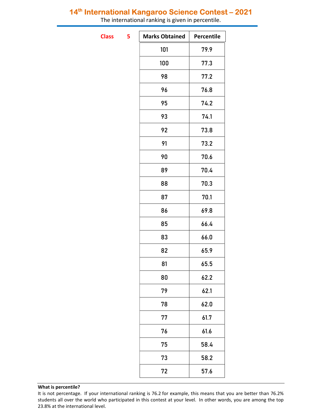The international ranking is given in percentile.

**Class** 

| 5 | <b>Marks Obtained</b> | Percentile |
|---|-----------------------|------------|
|   | 101                   | 79.9       |
|   | 100                   | 77.3       |
|   | 98                    | 77.2       |
|   | 96                    | 76.8       |
|   | 95                    | 74.2       |
|   | 93                    | 74.1       |
|   | 92                    | 73.8       |
|   | 91                    | 73.2       |
|   | 90                    | 70.6       |
|   | 89                    | 70.4       |
|   | 88                    | 70.3       |
|   | 87                    | 70.1       |
|   | 86                    | 69.8       |
|   | 85                    | 66.4       |
|   | 83                    | 66.0       |
|   | 82                    | 65.9       |
|   | 81                    | 65.5       |
|   | 80                    | 62.2       |
|   | 79                    | 62.1       |
|   | 78                    | 62.0       |
|   | 77                    | 61.7       |
|   | 76                    | 61.6       |
|   | 75                    | 58.4       |
|   | 73                    | 58.2       |
|   | 72                    | 57.6       |
|   |                       |            |

It is not percentage. If your international ranking is 76.2 for example, this means that you are better than 76.2% students all over the world who participated in this contest at your level. In other words, you are among the top 23.8% at the international level.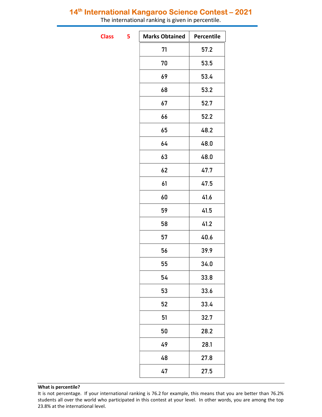The international ranking is given in percentile.

**Class** 

| 5 | <b>Marks Obtained</b> | Percentile |
|---|-----------------------|------------|
|   | 71                    | 57.2       |
|   | 70                    | 53.5       |
|   | 69                    | 53.4       |
|   | 68                    | 53.2       |
|   | 67                    | 52.7       |
|   | 66                    | 52.2       |
|   | 65                    | 48.2       |
|   | 64                    | 48.0       |
|   | 63                    | 48.0       |
|   | 62                    | 47.7       |
|   | 61                    | 47.5       |
|   | 60                    | 41.6       |
|   | 59                    | 41.5       |
|   | 58                    | 41.2       |
|   | 57                    | 40.6       |
|   | 56                    | 39.9       |
|   | 55                    | 34.0       |
|   | 54                    | 33.8       |
|   | 53                    | 33.6       |
|   | 52                    | 33.4       |
|   | 51                    | 32.7       |
|   | 50                    | 28.2       |
|   | 49                    | 28.1       |
|   | 48                    | 27.8       |
|   | 47                    | 27.5       |
|   |                       |            |

It is not percentage. If your international ranking is 76.2 for example, this means that you are better than 76.2% students all over the world who participated in this contest at your level. In other words, you are among the top 23.8% at the international level.